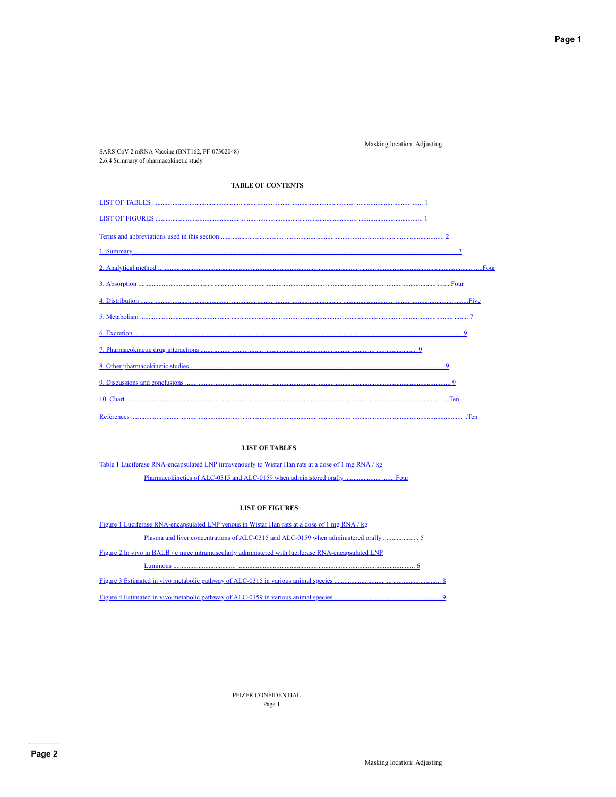Masking location: Adjusting

2.6.4 Summary of pharmacokinetic study **TABLE OF CONTENTS** 

SARS-CoV-2 mRNA Vaccine (BNT162, PF-07302048)

## **LIST OF TABLES**

Table 1 Luciferase RNA-encapsulated LNP intravenously to Wistar Han rats at a dose of 1 mg RNA/kg Pharmacokinetics of ALC-0315 and ALC-0159 when administered orally......... ...Four

## **LIST OF FIGURES**

<span id="page-0-0"></span>

| Figure 1 Luciferase RNA-encapsulated LNP venous in Wistar Han rats at a dose of 1 mg RNA/kg         |
|-----------------------------------------------------------------------------------------------------|
|                                                                                                     |
| Figure 2 In vivo in BALB / c mice intramuscularly administered with luciferase RNA-encapsulated LNP |
| Luminous                                                                                            |
|                                                                                                     |
|                                                                                                     |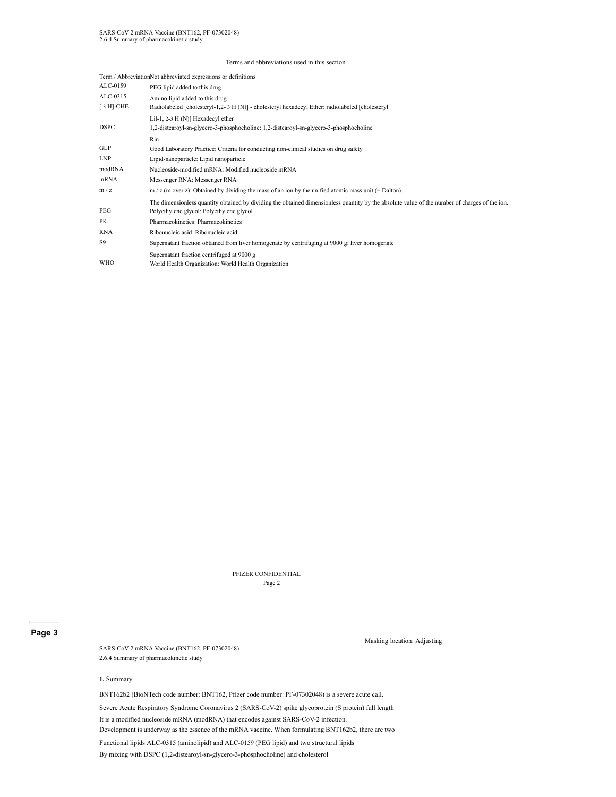#### Terms and abbreviations used in this section

|              | Term / AbbreviationNot abbreviated expressions or definitions                                                                                  |
|--------------|------------------------------------------------------------------------------------------------------------------------------------------------|
| ALC-0159     | PEG lipid added to this drug                                                                                                                   |
| ALC-0315     | Amino lipid added to this drug                                                                                                                 |
| $[3 H]$ -CHE | Radiolabeled [cholesteryl-1,2-3 H (N)] - cholesteryl hexadecyl Ether: radiolabeled [cholesteryl                                                |
|              | Lil-1, 2-3 H (N)] Hexadecyl ether                                                                                                              |
| <b>DSPC</b>  | 1,2-distearoyl-sn-glycero-3-phosphocholine: 1,2-distearoyl-sn-glycero-3-phosphocholine                                                         |
|              | Rin                                                                                                                                            |
| <b>GLP</b>   | Good Laboratory Practice: Criteria for conducting non-clinical studies on drug safety                                                          |
| <b>LNP</b>   | Lipid-nanoparticle: Lipid nanoparticle                                                                                                         |
| modRNA       | Nucleoside-modified mRNA: Modified nucleoside mRNA                                                                                             |
| mRNA         | Messenger RNA: Messenger RNA                                                                                                                   |
| m/z          | $m / z$ (m over z): Obtained by dividing the mass of an ion by the unified atomic mass unit (= Dalton).                                        |
|              | The dimensionless quantity obtained by dividing the obtained dimensionless quantity by the absolute value of the number of charges of the ion. |
| PEG          | Polyethylene glycol: Polyethylene glycol                                                                                                       |
| PK           | Pharmacokinetics: Pharmacokinetics                                                                                                             |
| <b>RNA</b>   | Ribonucleic acid: Ribonucleic acid                                                                                                             |
| S9           | Supernatant fraction obtained from liver homogenate by centrifuging at 9000 g: liver homogenate                                                |
|              | Supernatant fraction centrifuged at 9000 g                                                                                                     |
| <b>WHO</b>   | World Health Organization: World Health Organization                                                                                           |

PFIZER CONFIDENTIAL Page 2

## <span id="page-1-0"></span>**Page 3**

SARS-CoV-2 mRNA Vaccine (BNT162, PF-07302048) 2.6.4 Summary of pharmacokinetic study

#### Masking location: Adjusting

#### **1.** Summary

BNT162b2 (BioNTech code number: BNT162, Pfizer code number: PF-07302048) is a severe acute call.

Severe Acute Respiratory Syndrome Coronavirus 2 (SARS-CoV-2) spike glycoprotein (S protein) full length

It is a modified nucleoside mRNA (modRNA) that encodes against SARS-CoV-2 infection.

Development is underway as the essence of the mRNA vaccine. When formulating BNT162b2, there are two

Functional lipids ALC-0315 (aminolipid) and ALC-0159 (PEG lipid) and two structural lipids

By mixing with DSPC (1,2-distearoyl-sn-glycero-3-phosphocholine) and cholesterol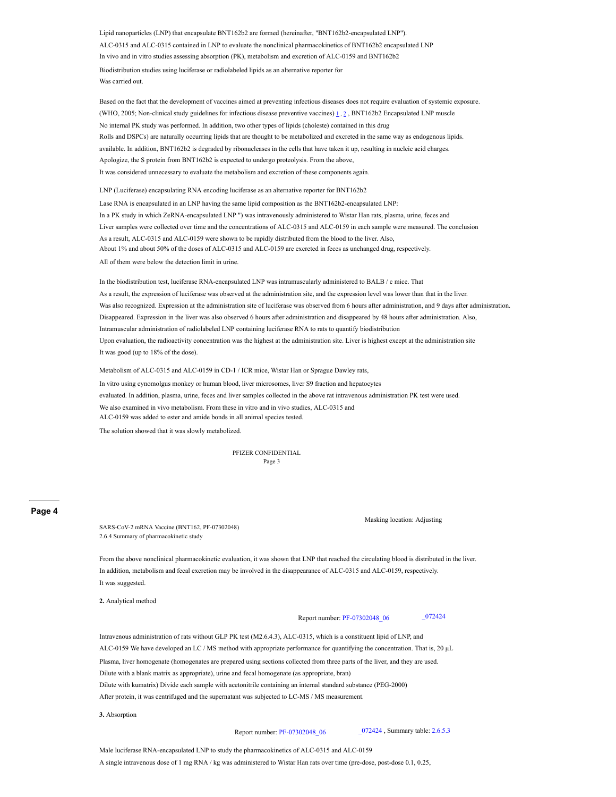Lipid nanoparticles (LNP) that encapsulate BNT162b2 are formed (hereinafter, "BNT162b2-encapsulated LNP"). ALC-0315 and ALC-0315 contained in LNP to evaluate the nonclinical pharmacokinetics of BNT162b2 encapsulated LNP In vivo and in vitro studies assessing absorption (PK), metabolism and excretion of ALC-0159 and BNT162b2 Biodistribution studies using luciferase or radiolabeled lipids as an alternative reporter for Was carried out.

Based on the fact that the development of vaccines aimed at preventing infectious diseases does not require evaluation of systemic exposure. (WHO, [2](#page-7-0)005; Non-clinical study guidelines for infectious disease preventive vaccines)  $1, 2$  $1, 2$ , BNT162b2 Encapsulated LNP muscle No internal PK study was performed. In addition, two other types of lipids (choleste) contained in this drug Rolls and DSPCs) are naturally occurring lipids that are thought to be metabolized and excreted in the same way as endogenous lipids. available. In addition, BNT162b2 is degraded by ribonucleases in the cells that have taken it up, resulting in nucleic acid charges. Apologize, the S protein from BNT162b2 is expected to undergo proteolysis. From the above, It was considered unnecessary to evaluate the metabolism and excretion of these components again.

LNP (Luciferase) encapsulating RNA encoding luciferase as an alternative reporter for BNT162b2 Lase RNA is encapsulated in an LNP having the same lipid composition as the BNT162b2-encapsulated LNP: In a PK study in which ZeRNA-encapsulated LNP ") was intravenously administered to Wistar Han rats, plasma, urine, feces and Liver samples were collected over time and the concentrations of ALC-0315 and ALC-0159 in each sample were measured. The conclusion As a result, ALC-0315 and ALC-0159 were shown to be rapidly distributed from the blood to the liver. Also, About 1% and about 50% of the doses of ALC-0315 and ALC-0159 are excreted in feces as unchanged drug, respectively. All of them were below the detection limit in urine.

In the biodistribution test, luciferase RNA-encapsulated LNP was intramuscularly administered to BALB / c mice. That As a result, the expression of luciferase was observed at the administration site, and the expression level was lower than that in the liver. Was also recognized. Expression at the administration site of luciferase was observed from 6 hours after administration, and 9 days after administration. Disappeared. Expression in the liver was also observed 6 hours after administration and disappeared by 48 hours after administration. Also, Intramuscular administration of radiolabeled LNP containing luciferase RNA to rats to quantify biodistribution Upon evaluation, the radioactivity concentration was the highest at the administration site. Liver is highest except at the administration site It was good (up to 18% of the dose).

Metabolism of ALC-0315 and ALC-0159 in CD-1 / ICR mice, Wistar Han or Sprague Dawley rats, In vitro using cynomolgus monkey or human blood, liver microsomes, liver S9 fraction and hepatocytes evaluated. In addition, plasma, urine, feces and liver samples collected in the above rat intravenous administration PK test were used. We also examined in vivo metabolism. From these in vitro and in vivo studies, ALC-0315 and ALC-0159 was added to ester and amide bonds in all animal species tested.

The solution showed that it was slowly metabolized.

PFIZER CONFIDENTIAL Page 3

#### <span id="page-2-0"></span>**Page 4**

SARS-CoV-2 mRNA Vaccine (BNT162, PF-07302048) 2.6.4 Summary of pharmacokinetic study

Masking location: Adjusting

From the above nonclinical pharmacokinetic evaluation, it was shown that LNP that reached the circulating blood is distributed in the liver. In addition, metabolism and fecal excretion may be involved in the disappearance of ALC-0315 and ALC-0159, respectively. It was suggested.

**2.** Analytical method

Report number: PF-07302048\_06 \_072424

Intravenous administration of rats without GLP PK test (M2.6.4.3), ALC-0315, which is a constituent lipid of LNP, and ALC-0159 We have developed an LC / MS method with appropriate performance for quantifying the concentration. That is, 20 µL Plasma, liver homogenate (homogenates are prepared using sections collected from three parts of the liver, and they are used. Dilute with a blank matrix as appropriate), urine and fecal homogenate (as appropriate, bran) Dilute with kumatrix) Divide each sample with acetonitrile containing an internal standard substance (PEG-2000) After protein, it was centrifuged and the supernatant was subjected to LC-MS / MS measurement.

**3.** Absorption

Report number: PF-07302048 06 <sup>\_072424</sup> , Summary table: 2.6.5.3

Male luciferase RNA-encapsulated LNP to study the pharmacokinetics of ALC-0315 and ALC-0159 A single intravenous dose of 1 mg RNA / kg was administered to Wistar Han rats over time (pre-dose, post-dose 0.1, 0.25,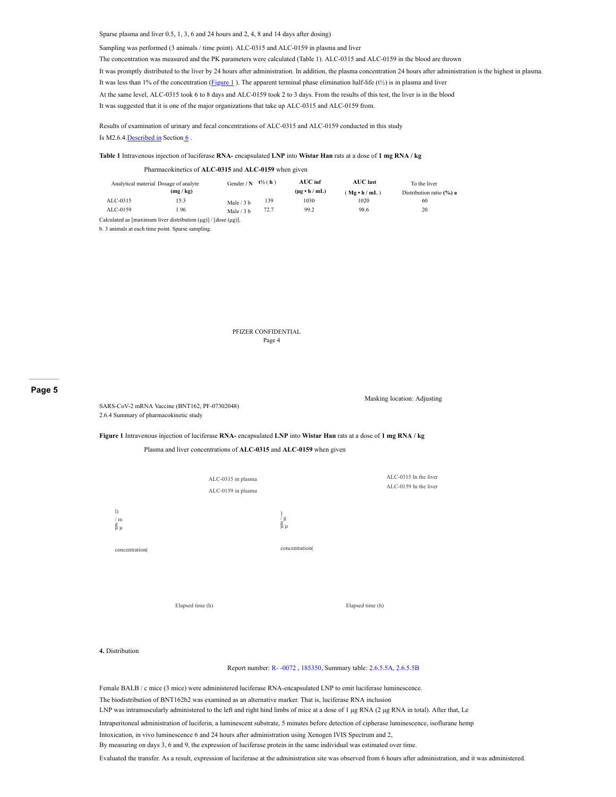#### Sparse plasma and liver 0.5, 1, 3, 6 and 24 hours and 2, 4, 8 and 14 days after dosing)

Sampling was performed (3 animals / time point). ALC-0315 and ALC-0159 in plasma and liver

The concentration was measured and the PK parameters were calculated (Table 1). ALC-0315 and ALC-0159 in the blood are thrown

It was promptly distributed to the liver by 24 hours after administration. In addition, the plasma concentration 24 hours after administration is the highest in plasma. It was less than 1% of the concentration  $\frac{Figure 1}{Figure 1}$ . The apparent terminal phase elimination half-life (t<sup>1/2</sup>) is in plasma and liver At the same level, ALC-0315 took 6 to 8 days and ALC-0159 took 2 to 3 days. From the results of this test, the liver is in the blood

It was suggested that it is one of the major organizations that take up ALC-0315 and ALC-0159 from.

Results of examination of urinary and fecal concentrations of ALC-0315 and ALC-0159 conducted in this study Is M2.6.4. Described in Section [6](#page-6-0).

#### **Table 1** Intravenous injection of luciferase **RNA-** encapsulated **LNP** into **Wistar Han** rats at a dose of **1 mg RNA / kg**

#### Pharmacokinetics of **ALC-0315** and **ALC-0159** when given Analytical material Dosage of analyte **(mg / kg)** Gender **/ N t½** ( **h** ) **AUC inf (μg • h / mL) AUC last** ( **Μg • h / mL** ) To the liver Distribution ratio **(%) a** ALC-0315 15.3 Male / 3 b<br>ALC-0159 1.96 Male / 3 b 139 1030 1020 60 Male  $/3 b$ 72.7 99.2 98.6 20 Calculated as [maximum liver distribution (μg)] / [dose (μg)].

b. 3 animals at each time point. Sparse sampling.

PFIZER CONFIDENTIAL Page 4

#### <span id="page-3-0"></span>**Page 5**

SARS-CoV-2 mRNA Vaccine (BNT162, PF-07302048) 2.6.4 Summary of pharmacokinetic study

Masking location: Adjusting

#### **Figure 1** Intravenous injection of luciferase **RNA-** encapsulated **LNP** into **Wistar Han** rats at a dose of **1 mg RNA / kg**

#### Plasma and liver concentrations of **ALC-0315** and **ALC-0159** when given



#### **4.** Distribution

Report number: R- -0072 , 185350, Summary table: 2.6.5.5A, 2.6.5.5B

Female BALB / c mice (3 mice) were administered luciferase RNA-encapsulated LNP to emit luciferase luminescence. The biodistribution of BNT162b2 was examined as an alternative marker. That is, luciferase RNA inclusion LNP was intramuscularly administered to the left and right hind limbs of mice at a dose of 1 μg RNA (2 μg RNA in total). After that, Le

Intraperitoneal administration of luciferin, a luminescent substrate, 5 minutes before detection of cipherase luminescence, isoflurane hemp

Intoxication, in vivo luminescence 6 and 24 hours after administration using Xenogen IVIS Spectrum and 2,

By measuring on days 3, 6 and 9, the expression of luciferase protein in the same individual was estimated over time.

Evaluated the transfer. As a result, expression of luciferase at the administration site was observed from 6 hours after administration, and it was administered.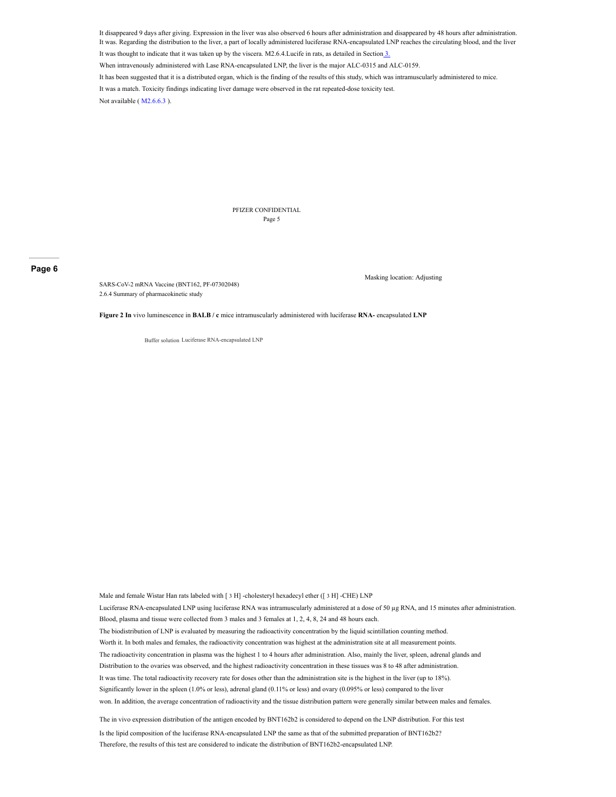It disappeared 9 days after giving. Expression in the liver was also observed 6 hours after administration and disappeared by 48 hours after administration. It was. Regarding the distribution to the liver, a part of locally administered luciferase RNA-encapsulated LNP reaches the circulating blood, and the liver

It was thought to indicate that it was taken up by the viscera. M2.6.4.Lucife in rats, as detailed in Sectio[n 3.](#page-2-0)

When intravenously administered with Lase RNA-encapsulated LNP, the liver is the major ALC-0315 and ALC-0159.

It has been suggested that it is a distributed organ, which is the finding of the results of this study, which was intramuscularly administered to mice.

It was a match. Toxicity findings indicating liver damage were observed in the rat repeated-dose toxicity test.

Not available ( M2.6.6.3 ).

PFIZER CONFIDENTIAL Page 5

#### <span id="page-4-0"></span>**Page 6**

SARS-CoV-2 mRNA Vaccine (BNT162, PF-07302048) 2.6.4 Summary of pharmacokinetic study

Masking location: Adjusting

**Figure 2 In** vivo luminescence in **BALB / c** mice intramuscularly administered with luciferase **RNA-** encapsulated **LNP**

Buffer solution Luciferase RNA-encapsulated LNP

Male and female Wistar Han rats labeled with [3 H] -cholesteryl hexadecyl ether ([3 H] -CHE) LNP Luciferase RNA-encapsulated LNP using luciferase RNA was intramuscularly administered at a dose of 50 µg RNA, and 15 minutes after administration. Blood, plasma and tissue were collected from 3 males and 3 females at 1, 2, 4, 8, 24 and 48 hours each. The biodistribution of LNP is evaluated by measuring the radioactivity concentration by the liquid scintillation counting method. Worth it. In both males and females, the radioactivity concentration was highest at the administration site at all measurement points. The radioactivity concentration in plasma was the highest 1 to 4 hours after administration. Also, mainly the liver, spleen, adrenal glands and Distribution to the ovaries was observed, and the highest radioactivity concentration in these tissues was 8 to 48 after administration. It was time. The total radioactivity recovery rate for doses other than the administration site is the highest in the liver (up to 18%). Significantly lower in the spleen (1.0% or less), adrenal gland (0.11% or less) and ovary (0.095% or less) compared to the liver won. In addition, the average concentration of radioactivity and the tissue distribution pattern were generally similar between males and females. The in vivo expression distribution of the antigen encoded by BNT162b2 is considered to depend on the LNP distribution. For this test

Is the lipid composition of the luciferase RNA-encapsulated LNP the same as that of the submitted preparation of BNT162b2? Therefore, the results of this test are considered to indicate the distribution of BNT162b2-encapsulated LNP.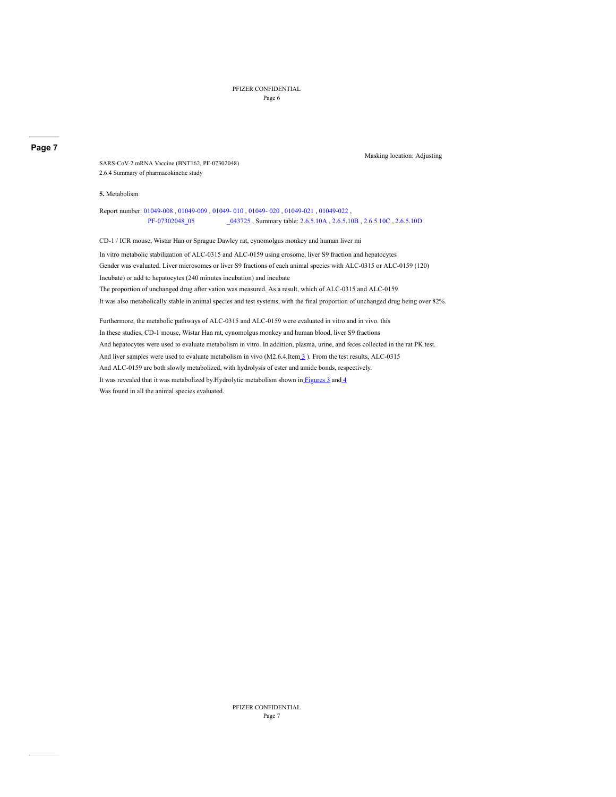PFIZER CONFIDENTIAL Page 6

Masking location: Adjusting

## <span id="page-5-0"></span>**Page 7**

SARS-CoV-2 mRNA Vaccine (BNT162, PF-07302048) 2.6.4 Summary of pharmacokinetic study

#### **5.** Metabolism

Report number: 01049-008 , 01049-009 , 01049- 010 , 01049- 020 , 01049-021 , 01049-022 , PF-07302048\_05 \_043725 , Summary table: 2.6.5.10A , 2.6.5.10B , 2.6.5.10C , 2.6.5.10D

CD-1 / ICR mouse, Wistar Han or Sprague Dawley rat, cynomolgus monkey and human liver mi

In vitro metabolic stabilization of ALC-0315 and ALC-0159 using crosome, liver S9 fraction and hepatocytes Gender was evaluated. Liver microsomes or liver S9 fractions of each animal species with ALC-0315 or ALC-0159 (120) Incubate) or add to hepatocytes (240 minutes incubation) and incubate The proportion of unchanged drug after vation was measured. As a result, which of ALC-0315 and ALC-0159 It was also metabolically stable in animal species and test systems, with the final proportion of unchanged drug being over 82%.

Furthermore, the metabolic pathways of ALC-0315 and ALC-0159 were evaluated in vitro and in vivo. this In these studies, CD-1 mouse, Wistar Han rat, cynomolgus monkey and human blood, liver S9 fractions And hepatocytes were used to evaluate metabolism in vitro. In addition, plasma, urine, and feces collected in the rat PK test. And liver samples were used to evaluate metabolism in vivo (M2.6.4.Ite[m 3](#page-2-0) ). From the test results, ALC-0315 And ALC-0159 are both slowly metabolized, with hydrolysis of ester and amide bonds, respectively. It was revealed that it was metabolized by Hydrolytic metabolism shown in Figures  $3$  and  $4$ Was found in all the animal species evaluated.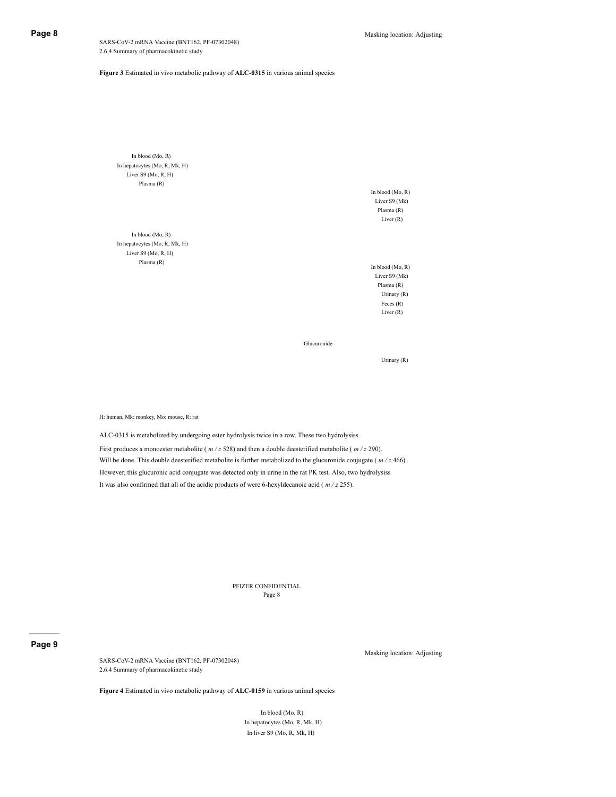<span id="page-6-1"></span>SARS-CoV-2 mRNA Vaccine (BNT162, PF-07302048) 2.6.4 Summary of pharmacokinetic study

### **Figure 3** Estimated in vivo metabolic pathway of **ALC-0315** in various animal species

In blood (Mo, R) In hepatocytes (Mo, R, Mk, H) Liver S9 (Mo, R, H) Plasma (R)

In blood (Mo, R) In hepatocytes (Mo, R, Mk, H) Liver S9 (Mo, R, H) Plasma (R)

In blood (Mo, R) Liver S9 (Mk) Plasma (R) Liver (R)

In blood (Mo, R) Liver S9 (Mk) Plasma (R) Urinary (R) Feces (R) Liver (R)

Glucuronide

Urinary (R)

H: human, Mk: monkey, Mo: mouse, R: rat

ALC-0315 is metabolized by undergoing ester hydrolysis twice in a row. These two hydrolysiss First produces a monoester metabolite ( $m/z$  528) and then a double deesterified metabolite ( $m/z$  290). Will be done. This double deesterified metabolite is further metabolized to the glucuronide conjugate ( $m/z$  466). However, this glucuronic acid conjugate was detected only in urine in the rat PK test. Also, two hydrolysiss It was also confirmed that all of the acidic products of were 6-hexyldecanoic acid ( *m / z* 255).

> PFIZER CONFIDENTIAL Page 8

#### <span id="page-6-0"></span>**Page 9**

SARS-CoV-2 mRNA Vaccine (BNT162, PF-07302048) 2.6.4 Summary of pharmacokinetic study

Masking location: Adjusting

**Figure 4** Estimated in vivo metabolic pathway of **ALC-0159** in various animal species

In blood (Mo, R) In hepatocytes (Mo, R, Mk, H) In liver S9 (Mo, R, Mk, H)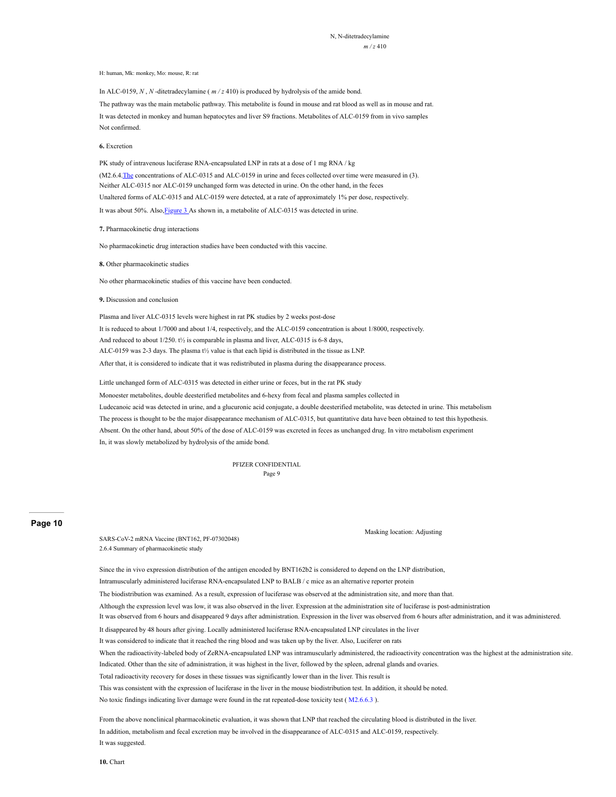N, N-ditetradecylamine *m / z* 410

H: human, Mk: monkey, Mo: mouse, R: rat

In ALC-0159, *N*, *N*-ditetradecylamine ( $m/z$  410) is produced by hydrolysis of the amide bond.

The pathway was the main metabolic pathway. This metabolite is found in mouse and rat blood as well as in mouse and rat. It was detected in monkey and human hepatocytes and liver S9 fractions. Metabolites of ALC-0159 from in vivo samples Not confirmed.

**6.** Excretion

PK study of intravenous luciferase RNA-encapsulated LNP in rats at a dose of 1 mg RNA / kg (M2.6.4[.The](#page-2-0) concentrations of ALC-0315 and ALC-0159 in urine and feces collected over time were measured in (3). Neither ALC-0315 nor ALC-0159 unchanged form was detected in urine. On the other hand, in the feces Unaltered forms of ALC-0315 and ALC-0159 were detected, at a rate of approximately 1% per dose, respectively. It was about 50%. Also, Figure 3 As shown in, a metabolite of ALC-0315 was detected in urine.

**7.** Pharmacokinetic drug interactions

No pharmacokinetic drug interaction studies have been conducted with this vaccine.

#### **8.** Other pharmacokinetic studies

No other pharmacokinetic studies of this vaccine have been conducted.

#### **9.** Discussion and conclusion

Plasma and liver ALC-0315 levels were highest in rat PK studies by 2 weeks post-dose It is reduced to about 1/7000 and about 1/4, respectively, and the ALC-0159 concentration is about 1/8000, respectively. And reduced to about 1/250. t½ is comparable in plasma and liver, ALC-0315 is 6-8 days, ALC-0159 was 2-3 days. The plasma t½ value is that each lipid is distributed in the tissue as LNP. After that, it is considered to indicate that it was redistributed in plasma during the disappearance process.

Little unchanged form of ALC-0315 was detected in either urine or feces, but in the rat PK study

Monoester metabolites, double deesterified metabolites and 6-hexy from fecal and plasma samples collected in Ludecanoic acid was detected in urine, and a glucuronic acid conjugate, a double deesterified metabolite, was detected in urine. This metabolism The process is thought to be the major disappearance mechanism of ALC-0315, but quantitative data have been obtained to test this hypothesis. Absent. On the other hand, about 50% of the dose of ALC-0159 was excreted in feces as unchanged drug. In vitro metabolism experiment In, it was slowly metabolized by hydrolysis of the amide bond.

> PFIZER CONFIDENTIAL Page 9

#### <span id="page-7-0"></span>**Page 10**

SARS-CoV-2 mRNA Vaccine (BNT162, PF-07302048) 2.6.4 Summary of pharmacokinetic study

Masking location: Adjusting

Since the in vivo expression distribution of the antigen encoded by BNT162b2 is considered to depend on the LNP distribution, Intramuscularly administered luciferase RNA-encapsulated LNP to BALB / c mice as an alternative reporter protein

The biodistribution was examined. As a result, expression of luciferase was observed at the administration site, and more than that.

Although the expression level was low, it was also observed in the liver. Expression at the administration site of luciferase is post-administration

It was observed from 6 hours and disappeared 9 days after administration. Expression in the liver was observed from 6 hours after administration, and it was administered.

It disappeared by 48 hours after giving. Locally administered luciferase RNA-encapsulated LNP circulates in the liver

It was considered to indicate that it reached the ring blood and was taken up by the liver. Also, Luciferer on rats

When the radioactivity-labeled body of ZeRNA-encapsulated LNP was intramuscularly administered, the radioactivity concentration was the highest at the administration site.

Indicated. Other than the site of administration, it was highest in the liver, followed by the spleen, adrenal glands and ovaries.

Total radioactivity recovery for doses in these tissues was significantly lower than in the liver. This result is

This was consistent with the expression of luciferase in the liver in the mouse biodistribution test. In addition, it should be noted.

No toxic findings indicating liver damage were found in the rat repeated-dose toxicity test ( M2.6.6.3 ).

From the above nonclinical pharmacokinetic evaluation, it was shown that LNP that reached the circulating blood is distributed in the liver. In addition, metabolism and fecal excretion may be involved in the disappearance of ALC-0315 and ALC-0159, respectively. It was suggested.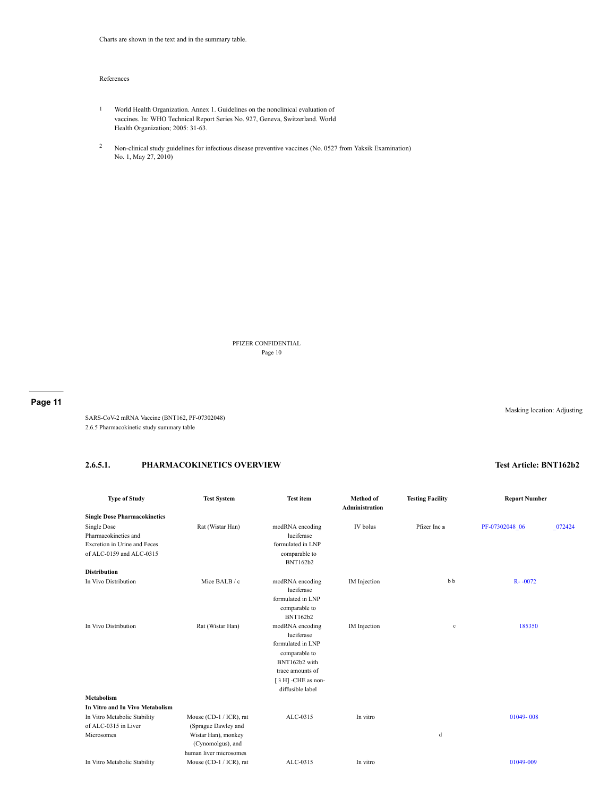#### References

- 1 World Health Organization. Annex 1. Guidelines on the nonclinical evaluation of vaccines. In: WHO Technical Report Series No. 927, Geneva, Switzerland. World Health Organization; 2005: 31-63.
- <sup>2</sup> Non-clinical study guidelines for infectious disease preventive vaccines (No. 0527 from Yaksik Examination) No. 1, May 27, 2010)

PFIZER CONFIDENTIAL Page 10

**Page 11**

SARS-CoV-2 mRNA Vaccine (BNT162, PF-07302048) 2.6.5 Pharmacokinetic study summary table

## **2.6.5.1. PHARMACOKINETICS OVERVIEW Test Article: BNT162b2**

| <b>Type of Study</b>                | <b>Test System</b>      | <b>Test item</b>               | Method of<br>Administration | <b>Testing Facility</b> | <b>Report Number</b> |        |  |
|-------------------------------------|-------------------------|--------------------------------|-----------------------------|-------------------------|----------------------|--------|--|
| <b>Single Dose Pharmacokinetics</b> |                         |                                |                             |                         |                      |        |  |
| Single Dose                         | Rat (Wistar Han)        | modRNA encoding                | IV bolus                    | Pfizer Inc a            | PF-07302048 06       | 072424 |  |
| Pharmacokinetics and                |                         | luciferase                     |                             |                         |                      |        |  |
| Excretion in Urine and Feces        |                         | formulated in LNP              |                             |                         |                      |        |  |
| of ALC-0159 and ALC-0315            |                         | comparable to                  |                             |                         |                      |        |  |
|                                     |                         | <b>BNT162b2</b>                |                             |                         |                      |        |  |
| <b>Distribution</b>                 |                         |                                |                             |                         |                      |        |  |
| In Vivo Distribution                | Mice BALB / c           | modRNA encoding                | IM Injection                | bb                      | $R - 0072$           |        |  |
|                                     |                         | luciferase                     |                             |                         |                      |        |  |
|                                     |                         | formulated in LNP              |                             |                         |                      |        |  |
|                                     |                         | comparable to                  |                             |                         |                      |        |  |
|                                     |                         | <b>BNT162b2</b>                |                             |                         |                      |        |  |
| In Vivo Distribution                | Rat (Wistar Han)        | modRNA encoding<br>luciferase  | IM Injection                | $\mathbf c$             | 185350               |        |  |
|                                     |                         | formulated in LNP              |                             |                         |                      |        |  |
|                                     |                         |                                |                             |                         |                      |        |  |
|                                     |                         | comparable to<br>BNT162b2 with |                             |                         |                      |        |  |
|                                     |                         | trace amounts of               |                             |                         |                      |        |  |
|                                     |                         | [3 H] -CHE as non-             |                             |                         |                      |        |  |
|                                     |                         | diffusible label               |                             |                         |                      |        |  |
| <b>Metabolism</b>                   |                         |                                |                             |                         |                      |        |  |
| In Vitro and In Vivo Metabolism     |                         |                                |                             |                         |                      |        |  |
| In Vitro Metabolic Stability        | Mouse (CD-1 / ICR), rat | ALC-0315                       | In vitro                    |                         | 01049-008            |        |  |
| of ALC-0315 in Liver                | (Sprague Dawley and     |                                |                             |                         |                      |        |  |
| Microsomes                          | Wistar Han), monkey     |                                |                             | d                       |                      |        |  |
|                                     | (Cynomolgus), and       |                                |                             |                         |                      |        |  |
|                                     | human liver microsomes  |                                |                             |                         |                      |        |  |
| In Vitro Metabolic Stability        | Mouse (CD-1 / ICR), rat | ALC-0315                       | In vitro                    |                         | 01049-009            |        |  |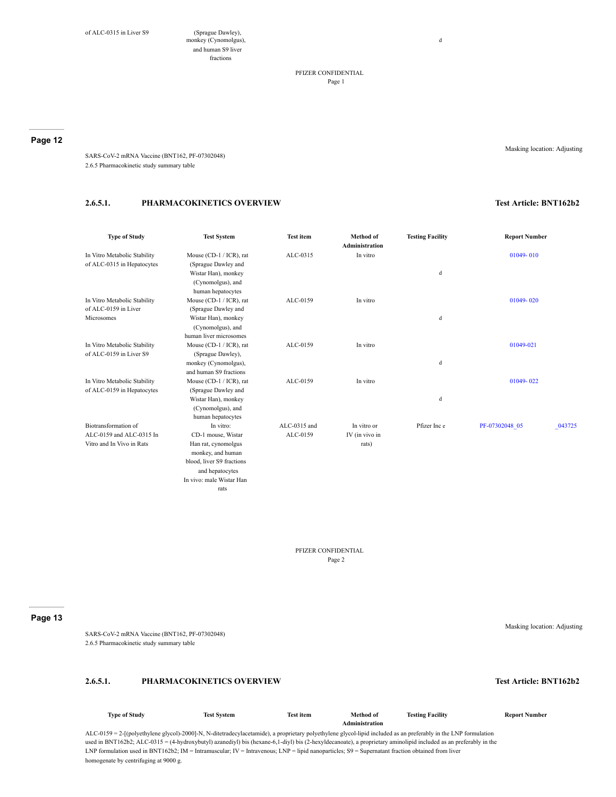monkey (Cynomolgus), and human S9 liver fractions

> PFIZER CONFIDENTIAL Page 1

d

#### **Page 12**

Masking location: Adjusting

SARS-CoV-2 mRNA Vaccine (BNT162, PF-07302048) 2.6.5 Pharmacokinetic study summary table

## **2.6.5.1. PHARMACOKINETICS OVERVIEW Test Article: BNT162b2**

| <b>Type of Study</b>                                       | <b>Test System</b>                             | <b>Test item</b> | <b>Method</b> of<br><b>Administration</b> | <b>Testing Facility</b> | <b>Report Number</b>     |
|------------------------------------------------------------|------------------------------------------------|------------------|-------------------------------------------|-------------------------|--------------------------|
| In Vitro Metabolic Stability<br>of ALC-0315 in Hepatocytes | Mouse (CD-1 / ICR), rat<br>(Sprague Dawley and | ALC-0315         | In vitro                                  |                         | 01049-010                |
|                                                            | Wistar Han), monkey<br>(Cynomolgus), and       |                  |                                           | d                       |                          |
|                                                            | human hepatocytes                              |                  |                                           |                         |                          |
| In Vitro Metabolic Stability                               | Mouse (CD-1 / ICR), rat                        | ALC-0159         | In vitro                                  |                         | 01049-020                |
| of ALC-0159 in Liver                                       | (Sprague Dawley and                            |                  |                                           |                         |                          |
| Microsomes                                                 | Wistar Han), monkey                            |                  |                                           | d                       |                          |
|                                                            | (Cynomolgus), and                              |                  |                                           |                         |                          |
|                                                            | human liver microsomes                         |                  |                                           |                         |                          |
| In Vitro Metabolic Stability                               | Mouse (CD-1 / ICR), rat                        | ALC-0159         | In vitro                                  |                         | 01049-021                |
| of ALC-0159 in Liver S9                                    | (Sprague Dawley),                              |                  |                                           |                         |                          |
|                                                            | monkey (Cynomolgus),                           |                  |                                           | d                       |                          |
|                                                            | and human S9 fractions                         |                  |                                           |                         |                          |
| In Vitro Metabolic Stability                               | Mouse (CD-1 / ICR), rat                        | ALC-0159         | In vitro                                  |                         | 01049-022                |
| of ALC-0159 in Hepatocytes                                 | (Sprague Dawley and                            |                  |                                           |                         |                          |
|                                                            | Wistar Han), monkey                            |                  |                                           | d                       |                          |
|                                                            | (Cynomolgus), and                              |                  |                                           |                         |                          |
|                                                            | human hepatocytes                              |                  |                                           |                         |                          |
| Biotransformation of                                       | In vitro:                                      | ALC-0315 and     | In vitro or                               | Pfizer Inc e            | PF-07302048 05<br>043725 |
| ALC-0159 and ALC-0315 In                                   | CD-1 mouse, Wistar                             | ALC-0159         | IV (in vivo in                            |                         |                          |
| Vitro and In Vivo in Rats                                  | Han rat, cynomolgus                            |                  | rats)                                     |                         |                          |
|                                                            | monkey, and human                              |                  |                                           |                         |                          |
|                                                            | blood, liver S9 fractions                      |                  |                                           |                         |                          |
|                                                            | and hepatocytes                                |                  |                                           |                         |                          |
|                                                            | In vivo: male Wistar Han                       |                  |                                           |                         |                          |
|                                                            | rats                                           |                  |                                           |                         |                          |

PFIZER CONFIDENTIAL Page 2

#### **Page 13**

SARS-CoV-2 mRNA Vaccine (BNT162, PF-07302048) 2.6.5 Pharmacokinetic study summary table

## **2.6.5.1. PHARMACOKINETICS OVERVIEW Test Article: BNT162b2**

#### **Type of Study Test System Test item Method of Administration Testing Facility Report Number** ALC-0159 = 2-[(polyethylene glycol)-2000]-N, N-ditetradecylacetamide), a proprietary polyethylene glycol-lipid included as an preferably in the LNP formulation used in BNT162b2; ALC-0315 = (4-hydroxybutyl) azanediyl) bis (hexane-6,1-diyl) bis (2-hexyldecanoate), a proprietary aminolipid included as an preferably in the LNP formulation used in BNT162b2; IM = Intramuscular; IV = Intravenous; LNP = lipid nanoparticles; S9 = Supernatant fraction obtained from liver

homogenate by centrifuging at 9000 g.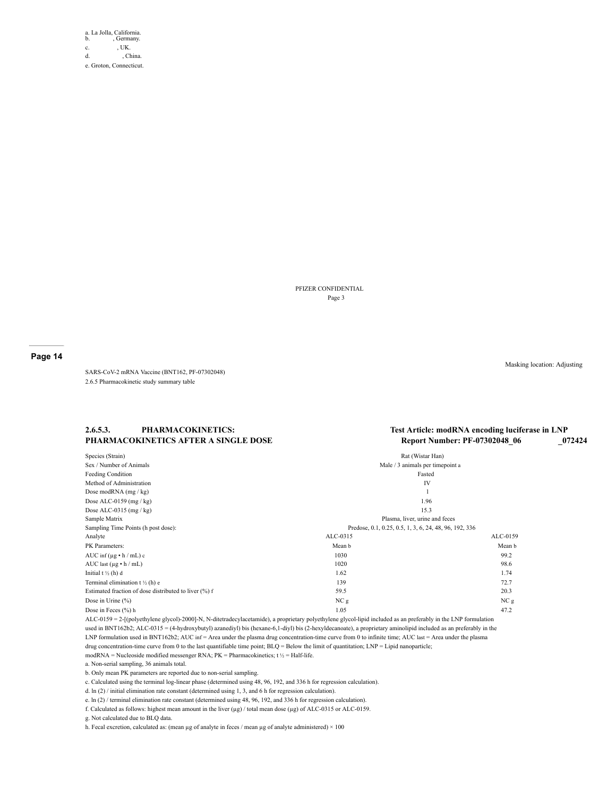a. La Jolla, California. b. , Germany. c. **, UK.** d. , China. e. Groton, Connecticut.

> PFIZER CONFIDENTIAL Page 3

**Page 14**

SARS-CoV-2 mRNA Vaccine (BNT162, PF-07302048) 2.6.5 Pharmacokinetic study summary table

**2.6.5.3. PHARMACOKINETICS:**

**PHARMACOKINETICS AFTER A SINGLE DOSE**

## **Test Article: modRNA encoding luciferase in LNP Report Number: PF-07302048\_06 \_072424**

| Species (Strain)                                      | Rat (Wistar Han)                                       |                 |
|-------------------------------------------------------|--------------------------------------------------------|-----------------|
| Sex / Number of Animals                               | Male / 3 animals per timepoint a                       |                 |
| Feeding Condition                                     | Fasted                                                 |                 |
| Method of Administration                              | IV                                                     |                 |
| Dose modRNA (mg / kg)                                 | 1                                                      |                 |
| Dose ALC-0159 $(mg / kg)$                             | 1.96                                                   |                 |
| Dose ALC-0315 $(mg / kg)$                             | 15.3                                                   |                 |
| Sample Matrix                                         | Plasma, liver, urine and feces                         |                 |
| Sampling Time Points (h post dose):                   | Predose, 0.1, 0.25, 0.5, 1, 3, 6, 24, 48, 96, 192, 336 |                 |
| Analyte                                               | ALC-0315                                               | ALC-0159        |
| PK Parameters:                                        | Mean b                                                 | Mean b          |
| AUC inf $(\mu g \cdot h / mL) c$                      | 1030                                                   | 99.2            |
| AUC last $(\mu g \cdot h / mL)$                       | 1020                                                   | 98.6            |
| Initial $t \frac{1}{2}$ (h) d                         | 1.62                                                   | 1.74            |
| Terminal elimination $t \frac{1}{2}$ (h) e            | 139                                                    | 72.7            |
| Estimated fraction of dose distributed to liver (%) f | 59.5                                                   | 20.3            |
| Dose in Urine $(\% )$                                 | NC <sub>g</sub>                                        | NC <sub>g</sub> |
| Dose in Feces (%) h                                   | 1.05                                                   | 47.2            |

ALC-0159 = 2-[(polyethylene glycol)-2000]-N, N-ditetradecylacetamide), a proprietary polyethylene glycol-lipid included as an preferably in the LNP formulation used in BNT162b2; ALC-0315 = (4-hydroxybutyl) azanediyl) bis (hexane-6,1-diyl) bis (2-hexyldecanoate), a proprietary aminolipid included as an preferably in the LNP formulation used in BNT162b2; AUC inf = Area under the plasma drug concentration-time curve from 0 to infinite time; AUC last = Area under the plasma drug concentration-time curve from 0 to the last quantifiable time point; BLQ = Below the limit of quantitation; LNP = Lipid nanoparticle;

modRNA = Nucleoside modified messenger RNA;  $PK =$  Pharmacokinetics;  $t \frac{1}{2} =$  Half-life.

a. Non-serial sampling, 36 animals total.

b. Only mean PK parameters are reported due to non-serial sampling.

c. Calculated using the terminal log-linear phase (determined using 48, 96, 192, and 336 h for regression calculation).

d. ln (2) / initial elimination rate constant (determined using 1, 3, and 6 h for regression calculation).

e. ln (2) / terminal elimination rate constant (determined using 48, 96, 192, and 336 h for regression calculation).

f. Calculated as follows: highest mean amount in the liver (µg) / total mean dose (µg) of ALC-0315 or ALC-0159.

g. Not calculated due to BLQ data.

h. Fecal excretion, calculated as: (mean µg of analyte in feces / mean µg of analyte administered)  $\times$  100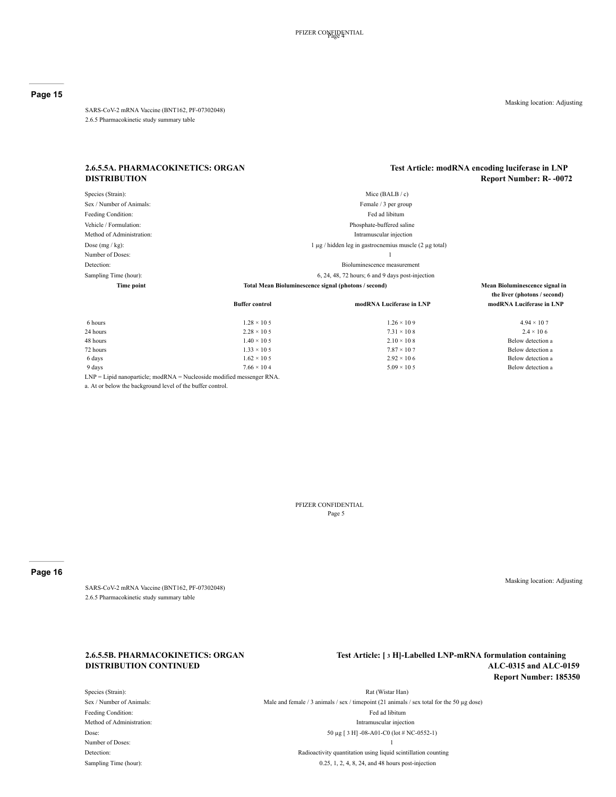SARS-CoV-2 mRNA Vaccine (BNT162, PF-07302048) 2.6.5 Pharmacokinetic study summary table

Masking location: Adjusting

#### **2.6.5.5A. PHARMACOKINETICS: ORGAN DISTRIBUTION**

## **Test Article: modRNA encoding luciferase in LNP Report Number: R- -0072**

Species (Strain): Mice (BALB / c) Sex / Number of Animals: Female / 3 per group Feeding Condition: Fed ad libitum Vehicle / Formulation: Phosphate-buffered saline Method of Administration: Intramuscular injection Dose (mg / kg): 1 µg / hidden leg in gastrocnemius muscle (2 µg total) Number of Doses: 1 Detection: Bioluminescence measurement Sampling Time (hour): 6, 24, 48, 72 hours; 6 and 9 days post-injection **Time point Total Mean Bioluminescence signal (photons / second) Mean Bioluminescence signal in Buffer control modRNA Luciferase in LNP modRNA Luciferase in LNP**

| 6 hours                                                                    | $1.28 \times 10.5$ | $1.26 \times 109$  | $4.94 \times 10.7$ |
|----------------------------------------------------------------------------|--------------------|--------------------|--------------------|
| 24 hours                                                                   | $2.28 \times 10.5$ | $7.31 \times 108$  | $2.4 \times 10.6$  |
| 48 hours                                                                   | $1.40 \times 10.5$ | $2.10 \times 108$  | Below detection a  |
| 72 hours                                                                   | $1.33 \times 10.5$ | $7.87 \times 107$  | Below detection a  |
| 6 days                                                                     | $1.62 \times 10.5$ | $2.92 \times 106$  | Below detection a  |
| 9 days                                                                     | $7.66 \times 104$  | $5.09 \times 10.5$ | Below detection a  |
| $LNP = Lipid$ nanoparticle; mod $RNA = Nucleoside$ modified messenger RNA. |                    |                    |                    |

a. At or below the background level of the buffer control.

PFIZER CONFIDENTIAL Page 5

## **Page 16**

SARS-CoV-2 mRNA Vaccine (BNT162, PF-07302048) 2.6.5 Pharmacokinetic study summary table

## **2.6.5.5B. PHARMACOKINETICS: ORGAN DISTRIBUTION CONTINUED**

**Test Article: [ 3 H]-Labelled LNP-mRNA formulation containing ALC-0315 and ALC-0159 Report Number: 185350**

Species (Strain): Rat (Wistar Han) Sex / Number of Animals: Male and female / 3 animals / sex / timepoint (21 animals / sex total for the 50 µg dose) Feeding Condition: Fed ad libitum condition: Fed ad libitum condition: Fed ad libitum condition: Method of Administration: Intramuscular injection **Intramuscular injection** Dose: 50 µg [ 3 H] -08-A01-C0 (lot # NC-0552-1) Number of Doses: 1 Detection: Radioactivity quantitation using liquid scintillation counting

Sampling Time (hour): 0.25, 1, 2, 4, 8, 24, and 48 hours post-injection

- **the liver (photons / second)**
	-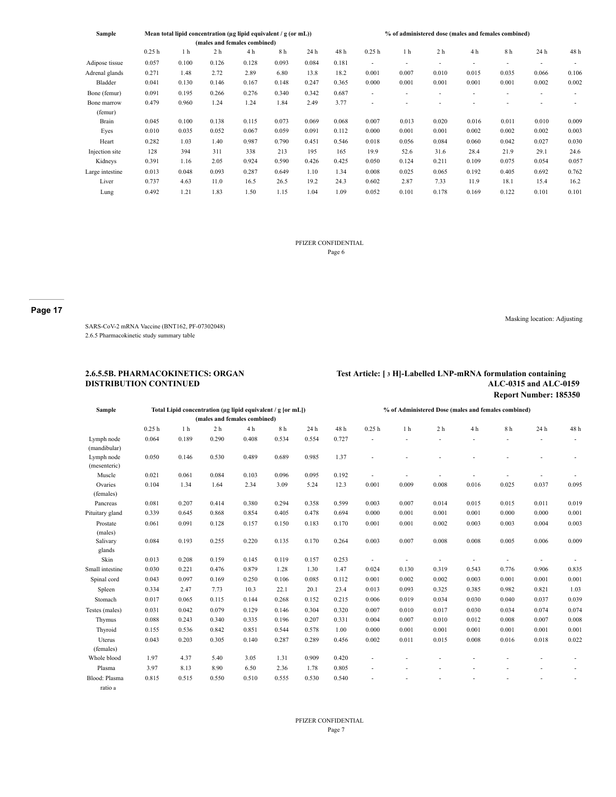| Sample          | Mean total lipid concentration ( $\mu$ g lipid equivalent / g (or mL)) |       |                |                              |       |       |       | % of administered dose (males and females combined) |       |                          |       |       |       |       |
|-----------------|------------------------------------------------------------------------|-------|----------------|------------------------------|-------|-------|-------|-----------------------------------------------------|-------|--------------------------|-------|-------|-------|-------|
|                 |                                                                        |       |                | (males and females combined) |       |       |       |                                                     |       |                          |       |       |       |       |
|                 | 0.25h                                                                  | 1 h   | 2 <sub>h</sub> | 4 h                          | 8 h   | 24 h  | 48 h  | 0.25h                                               | 1 h   | 2 h                      | 4 h   | 8h    | 24 h  | 48 h  |
| Adipose tissue  | 0.057                                                                  | 0.100 | 0.126          | 0.128                        | 0.093 | 0.084 | 0.181 | ٠                                                   | ٠     | $\overline{\phantom{a}}$ | ٠     | ٠     | ٠     |       |
| Adrenal glands  | 0.271                                                                  | 1.48  | 2.72           | 2.89                         | 6.80  | 13.8  | 18.2  | 0.001                                               | 0.007 | 0.010                    | 0.015 | 0.035 | 0.066 | 0.106 |
| Bladder         | 0.041                                                                  | 0.130 | 0.146          | 0.167                        | 0.148 | 0.247 | 0.365 | 0.000                                               | 0.001 | 0.001                    | 0.001 | 0.001 | 0.002 | 0.002 |
| Bone (femur)    | 0.091                                                                  | 0.195 | 0.266          | 0.276                        | 0.340 | 0.342 | 0.687 | ٠                                                   | ۰     |                          |       | ۰     | ٠     |       |
| Bone marrow     | 0.479                                                                  | 0.960 | 1.24           | 1.24                         | 1.84  | 2.49  | 3.77  | ۰                                                   |       |                          |       |       |       |       |
| (femur)         |                                                                        |       |                |                              |       |       |       |                                                     |       |                          |       |       |       |       |
| Brain           | 0.045                                                                  | 0.100 | 0.138          | 0.115                        | 0.073 | 0.069 | 0.068 | 0.007                                               | 0.013 | 0.020                    | 0.016 | 0.011 | 0.010 | 0.009 |
| Eyes            | 0.010                                                                  | 0.035 | 0.052          | 0.067                        | 0.059 | 0.091 | 0.112 | 0.000                                               | 0.001 | 0.001                    | 0.002 | 0.002 | 0.002 | 0.003 |
| Heart           | 0.282                                                                  | 1.03  | 1.40           | 0.987                        | 0.790 | 0.451 | 0.546 | 0.018                                               | 0.056 | 0.084                    | 0.060 | 0.042 | 0.027 | 0.030 |
| Injection site  | 128                                                                    | 394   | 311            | 338                          | 213   | 195   | 165   | 19.9                                                | 52.6  | 31.6                     | 28.4  | 21.9  | 29.1  | 24.6  |
| Kidneys         | 0.391                                                                  | 1.16  | 2.05           | 0.924                        | 0.590 | 0.426 | 0.425 | 0.050                                               | 0.124 | 0.211                    | 0.109 | 0.075 | 0.054 | 0.057 |
| Large intestine | 0.013                                                                  | 0.048 | 0.093          | 0.287                        | 0.649 | 1.10  | 1.34  | 0.008                                               | 0.025 | 0.065                    | 0.192 | 0.405 | 0.692 | 0.762 |
| Liver           | 0.737                                                                  | 4.63  | 11.0           | 16.5                         | 26.5  | 19.2  | 24.3  | 0.602                                               | 2.87  | 7.33                     | 11.9  | 18.1  | 15.4  | 16.2  |
| Lung            | 0.492                                                                  | 1.21  | 1.83           | 1.50                         | 1.15  | 1.04  | 1.09  | 0.052                                               | 0.101 | 0.178                    | 0.169 | 0.122 | 0.101 | 0.101 |

### PFIZER CONFIDENTIAL Page 6

#### **Page 17**

SARS-CoV-2 mRNA Vaccine (BNT162, PF-07302048) 2.6.5 Pharmacokinetic study summary table

#### **2.6.5.5B. PHARMACOKINETICS: ORGAN DISTRIBUTION CONTINUED**

#### **Test Article: [ 3 H]-Labelled LNP-mRNA formulation containing ALC-0315 and ALC-0159 Report Number: 185350**

Masking location: Adjusting

Sample **Total Lipid concentration (µg lipid equivalent / g [or mL]) (males and females combined) % of Administered Dose (males and females combined)** 0.25 h 1 h 2 h 4 h 8 h 24 h 48 h 0.25 h 1 h 2 h 4 h 8 h 24 h 48 h Lymph node (mandibular) 0.064 0.189 0.290 0.408 0.534 0.554 0.727 - - - - - - - Lymph node (mesenteric) 0.050 0.146 0.530 0.489 0.689 0.985 1.37 - - - - - - - Muscle 0.021 0.061 0.084 0.103 0.096 0.095 0.192 - - - - - - - - - - - - - - - -Ovaries (females) 0.104 1.34 1.64 2.34 3.09 5.24 12.3 0.001 0.009 0.008 0.016 0.025 0.037 0.095 Pancreas 0.081 0.207 0.414 0.380 0.294 0.358 0.599 0.003 0.007 0.014 0.015 0.015 0.011 0.019 Pituitary gland 0.339 0.645 0.868 0.854 0.405 0.478 0.694 0.000 0.001 0.001 0.001 0.000 0.000 0.001 Prostate (males) 0.061 0.091 0.128 0.157 0.150 0.183 0.170 0.001 0.001 0.002 0.003 0.003 0.004 0.003 Salivary glands 0.084 0.193 0.255 0.220 0.135 0.170 0.264 0.003 0.007 0.008 0.008 0.005 0.006 0.009 Skin 0.013 0.208 0.159 0.145 0.119 0.157 0.253 - - - - - - - - - - - - - - - - -Small intestine 0.030 0.221 0.476 0.879 1.28 1.30 1.47 0.024 0.130 0.319 0.543 0.776 0.906 0.835 Spinal cord 0.043 0.097 0.169 0.250 0.106 0.085 0.112 0.001 0.002 0.002 0.003 0.001 0.001 0.001 Spleen 0.334 2.47 7.73 10.3 22.1 20.1 23.4 0.013 0.093 0.325 0.385 0.982 0.821 1.03 Stomach 0.017 0.065 0.115 0.144 0.268 0.152 0.215 0.006 0.019 0.034 0.030 0.040 0.037 0.039 Testes (males) 0.031 0.042 0.079 0.129 0.146 0.304 0.320 0.007 0.010 0.017 0.030 0.034 0.074 0.074 Thymus 0.088 0.243 0.340 0.335 0.196 0.207 0.331 0.004 0.007 0.010 0.012 0.008 0.007 0.008 Thyroid 0.155 0.536 0.842 0.851 0.544 0.578 1.00 0.000 0.001 0.001 0.001 0.001 0.001 0.001 Uterus (females) 0.043 0.203 0.305 0.140 0.287 0.289 0.456 0.002 0.011 0.015 0.008 0.016 0.018 0.022 Whole blood 1.97 4.37 5.40 3.05 1.31 0.909 0.420 - - - - - - - Plasma 3.97 8.13 8.90 6.50 2.36 1.78 0.805 - - - - - - - Blood: Plasma ratio a 0.815 0.515 0.550 0.510 0.555 0.530 0.540 - - - - - - -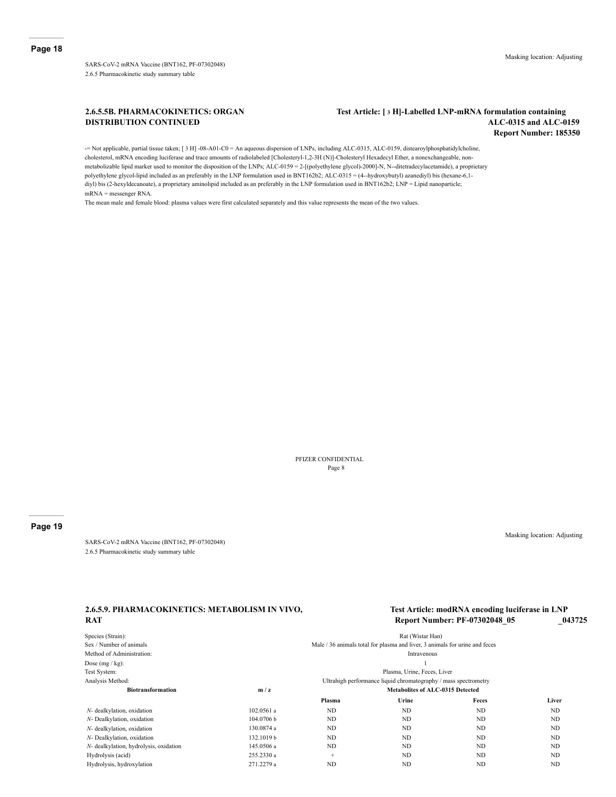SARS-CoV-2 mRNA Vaccine (BNT162, PF-07302048) 2.6.5 Pharmacokinetic study summary table

## **2.6.5.5B. PHARMACOKINETICS: ORGAN DISTRIBUTION CONTINUED**

## **Test Article: [ 3 H]-Labelled LNP-mRNA formulation containing ALC-0315 and ALC-0159 Report Number: 185350**

-= Not applicable, partial tissue taken; [ 3 H] -08-A01-C0 = An aqueous dispersion of LNPs, including ALC-0315, ALC-0159, distearoylphosphatidylcholine, cholesterol, mRNA encoding luciferase and trace amounts of radiolabeled [Cholesteryl-1,2-3H (N)]-Cholesteryl Hexadecyl Ether, a nonexchangeable, nonmetabolizable lipid marker used to monitor the disposition of the LNPs; ALC-0159 = 2-[(polyethylene glycol)-2000]-N, N--ditetradecylacetamide), a proprietary polyethylene glycol-lipid included as an preferably in the LNP formulation used in BNT162b2; ALC-0315 = (4--hydroxybutyl) azanediyl) bis (hexane-6,1 diyl) bis (2-hexyldecanoate), a proprietary aminolipid included as an preferably in the LNP formulation used in BNT162b2; LNP = Lipid nanoparticle; mRNA = messenger RNA.

The mean male and female blood: plasma values were first calculated separately and this value represents the mean of the two values.

PFIZER CONFIDENTIAL Page 8

#### **Page 19**

SARS-CoV-2 mRNA Vaccine (BNT162, PF-07302048) 2.6.5 Pharmacokinetic study summary table

Masking location: Adjusting

## **2.6.5.9. PHARMACOKINETICS: METABOLISM IN VIVO, RAT**

## **Test Article: modRNA encoding luciferase in LNP Report Number: PF-07302048\_05 \_043725**

| Species (Strain):                      |                                                                 |                                         | Rat (Wistar Han)                                                            |                |           |  |  |  |  |  |  |
|----------------------------------------|-----------------------------------------------------------------|-----------------------------------------|-----------------------------------------------------------------------------|----------------|-----------|--|--|--|--|--|--|
| Sex / Number of animals                |                                                                 |                                         | Male / 36 animals total for plasma and liver, 3 animals for urine and feces |                |           |  |  |  |  |  |  |
| Method of Administration:              |                                                                 |                                         | Intravenous                                                                 |                |           |  |  |  |  |  |  |
| Dose $(mg / kg)$ :                     |                                                                 |                                         |                                                                             |                |           |  |  |  |  |  |  |
| Test System:                           | Plasma, Urine, Feces, Liver                                     |                                         |                                                                             |                |           |  |  |  |  |  |  |
| Analysis Method:                       | Ultrahigh performance liquid chromatography / mass spectrometry |                                         |                                                                             |                |           |  |  |  |  |  |  |
| <b>Biotransformation</b>               | m/z                                                             | <b>Metabolites of ALC-0315 Detected</b> |                                                                             |                |           |  |  |  |  |  |  |
|                                        |                                                                 | Plasma                                  | Urine                                                                       | Feces          | Liver     |  |  |  |  |  |  |
| N- dealkylation, oxidation             | 102.0561 a                                                      | ND                                      | ND                                                                          | ND             | ND        |  |  |  |  |  |  |
| N- Dealkylation, oxidation             | 104.0706 b                                                      | ND                                      | ND                                                                          | <b>ND</b>      | ND        |  |  |  |  |  |  |
| N- dealkylation, oxidation             | 130.0874 a                                                      | ND                                      | ND                                                                          | ND             | <b>ND</b> |  |  |  |  |  |  |
| N- Dealkylation, oxidation             | 132.1019 b                                                      | ND                                      | ND                                                                          | N <sub>D</sub> | <b>ND</b> |  |  |  |  |  |  |
| N- dealkylation, hydrolysis, oxidation | 145.0506 a                                                      | ND                                      | ND                                                                          | ND             | <b>ND</b> |  |  |  |  |  |  |
| Hydrolysis (acid)                      | 255.2330 a                                                      | $+$                                     | ND.                                                                         | ND             | <b>ND</b> |  |  |  |  |  |  |
| Hydrolysis, hydroxylation              | 271.2279 a                                                      | ND                                      | ND                                                                          | ND             | <b>ND</b> |  |  |  |  |  |  |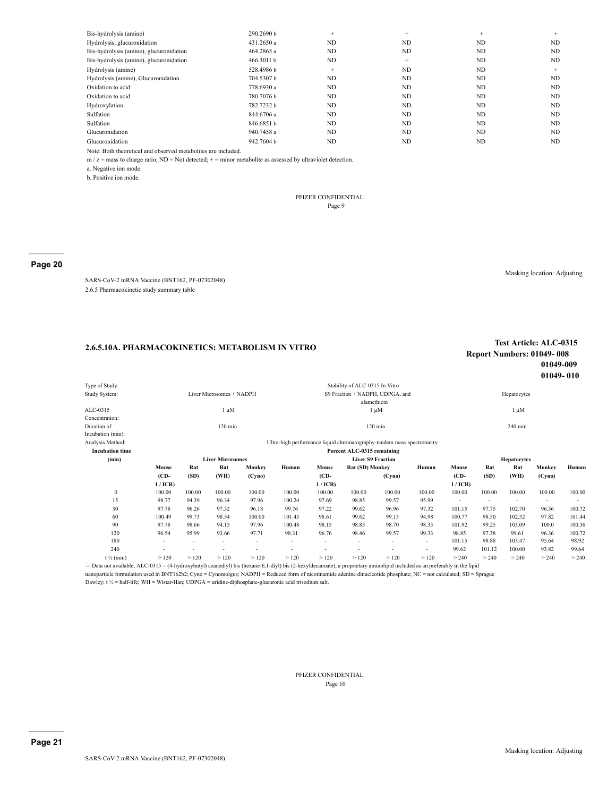| Bis-hydrolysis (amine)                  | 290.2690 b | $+$    | $+$ | $+$       | $+$ |
|-----------------------------------------|------------|--------|-----|-----------|-----|
| Hydrolysis, glucuronidation             | 431.2650 a | ND     | ND  | ND        | ND  |
| Bis-hydrolysis (amine), glucuronidation | 464.2865 a | ND     | ND  | ND        | ND. |
| Bis-hydrolysis (amine), glucuronidation | 466.3011 b | ND     | $+$ | ND        | ND. |
| Hydrolysis (amine)                      | 528.4986b  | $^{+}$ | ND  | ND        | $+$ |
| Hydrolysis (amine), Glucuronidation     | 704.5307 b | ND     | ND  | ND        | ND  |
| Oxidation to acid                       | 778.6930 a | ND     | ND  | <b>ND</b> | ND  |
| Oxidation to acid                       | 780.7076 b | ND     | ND  | ND        | ND  |
| Hydroxylation                           | 782.7232b  | ND     | ND  | ND        | ND  |
| Sulfation                               | 844.6706 a | ND     | ND  | ND        | ND  |
| Sulfation                               | 846.6851b  | ND     | ND  | <b>ND</b> | ND  |
| Glucuronidation                         | 940.7458 a | ND     | ND  | <b>ND</b> | ND  |
| Glucuronidation                         | 942.7604 b | ND     | ND  | ND        | ND  |

Note: Both theoretical and observed metabolites are included.

 $m / z =$  mass to charge ratio; ND = Not detected;  $+$  = minor metabolite as assessed by ultraviolet detection.

a. Negative ion mode.

b. Positive ion mode.

#### PFIZER CONFIDENTIAL Page 9

## **Page 20**

SARS-CoV-2 mRNA Vaccine (BNT162, PF-07302048) 2.6.5 Pharmacokinetic study summary table

Masking location: Adjusting

# **2.6.5.10A. PHARMACOKINETICS: METABOLISM IN VITRO Test Article: ALC-0315**

# **Report Numbers: 01049- 008 01049-009 01049- 010**

| Type of Study:         |         |        |                          |        |                                                                       |                                 | Stability of ALC-0315 In Vitro |                   |                          |         |                    |             |        |        |  |
|------------------------|---------|--------|--------------------------|--------|-----------------------------------------------------------------------|---------------------------------|--------------------------------|-------------------|--------------------------|---------|--------------------|-------------|--------|--------|--|
| Study System:          |         |        | Liver Microsomes + NADPH |        |                                                                       | S9 Fraction + NADPH, UDPGA, and |                                |                   |                          |         |                    | Hepatocytes |        |        |  |
|                        |         |        |                          |        |                                                                       |                                 | alamethicin                    |                   |                          |         |                    |             |        |        |  |
| ALC-0315               |         |        | l μM                     |        |                                                                       |                                 |                                | $1 \mu M$         |                          |         | $1 \mu M$          |             |        |        |  |
| Concentration:         |         |        |                          |        |                                                                       |                                 |                                |                   |                          |         |                    |             |        |        |  |
| Duration of            |         |        | $120 \text{ min}$        |        |                                                                       |                                 |                                | $120 \text{ min}$ |                          |         |                    | 240 min     |        |        |  |
| Incubation (min):      |         |        |                          |        |                                                                       |                                 |                                |                   |                          |         |                    |             |        |        |  |
| Analysis Method:       |         |        |                          |        | Ultra-high performance liquid chromatography-tandem mass spectrometry |                                 |                                |                   |                          |         |                    |             |        |        |  |
| <b>Incubation time</b> |         |        |                          |        |                                                                       |                                 | Percent ALC-0315 remaining     |                   |                          |         |                    |             |        |        |  |
| (min)                  |         |        | <b>Liver Microsomes</b>  |        |                                                                       | <b>Liver S9 Fraction</b>        |                                |                   |                          |         | <b>Hepatocytes</b> |             |        |        |  |
|                        | Mouse   | Rat    | Rat                      | Monkey | Human                                                                 | Mouse                           | Rat (SD) Monkey                |                   | Human                    | Mouse   | Rat                | Rat         | Monkey | Human  |  |
|                        | $(CD -$ | (SD)   | (WH)                     | (Cyno) |                                                                       | $(CD -$                         |                                | (Cyno)            |                          | $(CD -$ | (SD)               | (WH)        | (Cyno) |        |  |
|                        | 1/ICR   |        |                          |        |                                                                       | 1/ICR                           |                                |                   |                          | 1/ICR   |                    |             |        |        |  |
| $\mathbf{0}$           | 100.00  | 100.00 | 100.00                   | 100.00 | 100.00                                                                | 100.00                          | 100.00                         | 100.00            | 100.00                   | 100.00  | 100.00             | 100.00      | 100.00 | 100.00 |  |
| 15                     | 98.77   | 94.39  | 96.34                    | 97.96  | 100.24                                                                | 97.69                           | 98.85                          | 99.57             | 95.99                    |         | ٠                  |             |        | ٠      |  |
| 30                     | 97.78   | 96.26  | 97.32                    | 96.18  | 99.76                                                                 | 97.22                           | 99.62                          | 96.96             | 97.32                    | 101.15  | 97.75              | 102.70      | 96.36  | 100.72 |  |
| 60                     | 100.49  | 99.73  | 98.54                    | 100.00 | 101.45                                                                | 98.61                           | 99.62                          | 99.13             | 94.98                    | 100.77  | 98.50              | 102.32      | 97.82  | 101.44 |  |
| 90                     | 97.78   | 98.66  | 94.15                    | 97.96  | 100.48                                                                | 98.15                           | 98.85                          | 98.70             | 98.33                    | 101.92  | 99.25              | 103.09      | 100.0  | 100.36 |  |
| 120                    | 96.54   | 95.99  | 93.66                    | 97.71  | 98.31                                                                 | 96.76                           | 98.46                          | 99.57             | 99.33                    | 98.85   | 97.38              | 99.61       | 96.36  | 100.72 |  |
| 180                    |         |        |                          |        | ٠                                                                     |                                 | ٠                              |                   | $\overline{\phantom{a}}$ | 101.15  | 98.88              | 103.47      | 95.64  | 98.92  |  |
| 240                    | ٠       |        |                          |        | ٠                                                                     | ٠                               | ٠                              | ٠                 | $\overline{\phantom{a}}$ | 99.62   | 101.12             | 100.00      | 93.82  | 99.64  |  |
| $t \frac{1}{2}$ (min)  | >120    | >120   | >120                     | >120   | >120                                                                  | >120                            | >120                           | >120              | >120                     | > 240   | > 240              | > 240       | > 240  | > 240  |  |
|                        |         |        |                          |        |                                                                       |                                 |                                |                   |                          |         |                    |             |        |        |  |

-= Data not available; ALC-0315 = (4-hydroxybutyl) azanediyl) bis (hexane-6,1-diyl) bis (2-hexyldecanoate), a proprietary aminolipid included as an preferably in the lipid nanoparticle formulation used in BNT162b2; Cyno = Cynomolgus; NADPH = Reduced form of nicotinamide adenine dinucleotide phosphate; NC = not calculated; SD = Sprague

Dawley; t ½ = half-life; WH = Wistar-Han; UDPGA = uridine-diphosphate-glucuronic acid trisodium salt.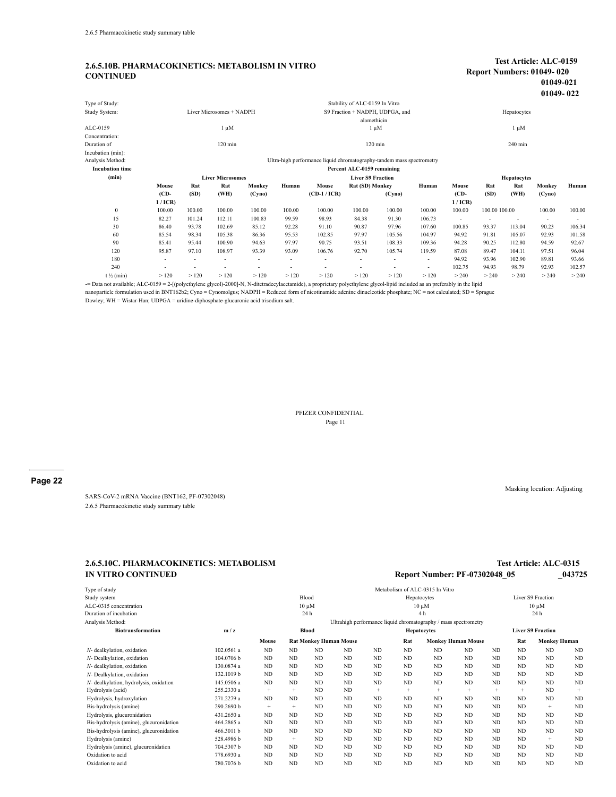## **2.6.5.10B. PHARMACOKINETICS: METABOLISM IN VITRO CONTINUED**

#### **Test Article: ALC-0159 Report Numbers: 01049- 020 01049-021 01049- 022**

|                        |         |                                                                       |                          |        |                          |                                 |                                |        |                          |         |                    |           | $01077 - 044$            |        |
|------------------------|---------|-----------------------------------------------------------------------|--------------------------|--------|--------------------------|---------------------------------|--------------------------------|--------|--------------------------|---------|--------------------|-----------|--------------------------|--------|
| Type of Study:         |         |                                                                       |                          |        |                          |                                 | Stability of ALC-0159 In Vitro |        |                          |         |                    |           |                          |        |
| Study System:          |         |                                                                       | Liver Microsomes + NADPH |        |                          | S9 Fraction + NADPH, UDPGA, and |                                |        |                          |         | Hepatocytes        |           |                          |        |
|                        |         |                                                                       |                          |        |                          |                                 | alamethicin                    |        |                          |         |                    |           |                          |        |
| ALC-0159               |         |                                                                       | $1 \mu M$                |        |                          |                                 | $1 \mu M$                      |        |                          |         |                    | $1 \mu M$ |                          |        |
| Concentration:         |         |                                                                       |                          |        |                          |                                 |                                |        |                          |         |                    |           |                          |        |
| Duration of            |         |                                                                       | $120 \text{ min}$        |        |                          |                                 | $120 \text{ min}$              |        |                          |         |                    | 240 min   |                          |        |
| Incubation (min):      |         |                                                                       |                          |        |                          |                                 |                                |        |                          |         |                    |           |                          |        |
| Analysis Method:       |         | Ultra-high performance liquid chromatography-tandem mass spectrometry |                          |        |                          |                                 |                                |        |                          |         |                    |           |                          |        |
| <b>Incubation time</b> |         |                                                                       |                          |        |                          |                                 | Percent ALC-0159 remaining     |        |                          |         |                    |           |                          |        |
| (min)                  |         |                                                                       | <b>Liver Microsomes</b>  |        |                          | <b>Liver S9 Fraction</b>        |                                |        |                          |         | <b>Hepatocytes</b> |           |                          |        |
|                        | Mouse   | Rat                                                                   | Rat                      | Monkey | Human                    | Mouse                           | Rat (SD) Monkey                |        | Human                    | Mouse   | Rat                | Rat       | Monkey                   | Human  |
|                        | $(CD -$ | (SD)                                                                  | (WH)                     | (Cyno) |                          | $(CD-1/ICR)$                    |                                | (Cyno) |                          | $(CD -$ | (SD)               | (WH)      | (Cyno)                   |        |
|                        | 1/ICR   |                                                                       |                          |        |                          |                                 |                                |        |                          | 1/ICR   |                    |           |                          |        |
| $\mathbf{0}$           | 100.00  | 100.00                                                                | 100.00                   | 100.00 | 100.00                   | 100.00                          | 100.00                         | 100.00 | 100.00                   | 100.00  | 100.00 100.00      |           | 100.00                   | 100.00 |
| 15                     | 82.27   | 101.24                                                                | 112.11                   | 100.83 | 99.59                    | 98.93                           | 84.38                          | 91.30  | 106.73                   | ٠       |                    |           | $\overline{\phantom{a}}$ |        |
| 30                     | 86.40   | 93.78                                                                 | 102.69                   | 85.12  | 92.28                    | 91.10                           | 90.87                          | 97.96  | 107.60                   | 100.85  | 93.37              | 113.04    | 90.23                    | 106.34 |
| 60                     | 85.54   | 98.34                                                                 | 105.38                   | 86.36  | 95.53                    | 102.85                          | 97.97                          | 105.56 | 104.97                   | 94.92   | 91.81              | 105.07    | 92.93                    | 101.58 |
| 90                     | 85.41   | 95.44                                                                 | 100.90                   | 94.63  | 97.97                    | 90.75                           | 93.51                          | 108.33 | 109.36                   | 94.28   | 90.25              | 112.80    | 94.59                    | 92.67  |
| 120                    | 95.87   | 97.10                                                                 | 108.97                   | 93.39  | 93.09                    | 106.76                          | 92.70                          | 105.74 | 119.59                   | 87.08   | 89.47              | 104.11    | 97.51                    | 96.04  |
| 180                    |         |                                                                       |                          |        | $\overline{\phantom{a}}$ |                                 |                                |        | ٠                        | 94.92   | 93.96              | 102.90    | 89.81                    | 93.66  |
| 240                    |         |                                                                       |                          |        |                          |                                 |                                |        | $\overline{\phantom{a}}$ | 102.75  | 94.93              | 98.79     | 92.93                    | 102.57 |
| $t \frac{1}{2}$ (min)  | >120    | >120                                                                  | >120                     | >120   | >120                     | >120                            | >120                           | >120   | >120                     | > 240   | > 240              | > 240     | > 240                    | > 240  |

-= Data not available; ALC-0159 = 2-[(polyethylene glycol)-2000]-N, N-ditetradecylacetamide), a proprietary polyethylene glycol-lipid included as an preferably in the lipid

nanoparticle formulation used in BNT162b2; Cyno = Cynomolgus; NADPH = Reduced form of nicotinamide adenine dinucleotide phosphate; NC = not calculated; SD = Sprague Dawley; WH = Wistar-Han; UDPGA = uridine-diphosphate-glucuronic acid trisodium salt.

> PFIZER CONFIDENTIAL Page 11

**Page 22**

SARS-CoV-2 mRNA Vaccine (BNT162, PF-07302048) 2.6.5 Pharmacokinetic study summary table

## **2.6.5.10C. PHARMACOKINETICS: METABOLISM IN VITRO CONTINUED**

## **Test Article: ALC-0315 Report Number: PF-07302048\_05 \_043725**

| Type of study                           |                                                                 |                                        |           |              |             |                    |                                  | Metabolism of ALC-0315 In Vitro |                |                   |                          |                     |           |  |  |
|-----------------------------------------|-----------------------------------------------------------------|----------------------------------------|-----------|--------------|-------------|--------------------|----------------------------------|---------------------------------|----------------|-------------------|--------------------------|---------------------|-----------|--|--|
| Study system                            | Blood                                                           |                                        |           |              | Hepatocytes |                    |                                  |                                 |                | Liver S9 Fraction |                          |                     |           |  |  |
| ALC-0315 concentration                  |                                                                 |                                        |           |              | $10 \mu M$  |                    |                                  | $10 \mu M$                      |                |                   |                          | $10 \mu M$          |           |  |  |
| Duration of incubation<br>24 h          |                                                                 |                                        |           |              |             | 4 <sub>h</sub>     |                                  |                                 |                |                   |                          | 24 h                |           |  |  |
| Analysis Method:                        | Ultrahigh performance liquid chromatography / mass spectrometry |                                        |           |              |             |                    |                                  |                                 |                |                   |                          |                     |           |  |  |
| <b>Biotransformation</b>                | m/z                                                             |                                        |           | <b>Blood</b> |             | <b>Hepatocytes</b> |                                  |                                 |                |                   | <b>Liver S9 Fraction</b> |                     |           |  |  |
|                                         |                                                                 | Mouse<br><b>Rat Monkey Human Mouse</b> |           |              |             |                    | Rat<br><b>Monkey Human Mouse</b> |                                 |                |                   | Rat                      | <b>Monkey Human</b> |           |  |  |
| N- dealkylation, oxidation              | 102.0561 a                                                      | ND                                     | <b>ND</b> | <b>ND</b>    | <b>ND</b>   | <b>ND</b>          | <b>ND</b>                        | ND                              | <b>ND</b>      | ND.               | <b>ND</b>                | ND                  | <b>ND</b> |  |  |
| N- Dealkylation, oxidation              | 104.0706 b                                                      | <b>ND</b>                              | ND.       | <b>ND</b>    | <b>ND</b>   | <b>ND</b>          | <b>ND</b>                        | <b>ND</b>                       | <b>ND</b>      | ND.               | ND.                      | ND.                 | <b>ND</b> |  |  |
| N- dealkylation, oxidation              | 130.0874 a                                                      | ND                                     | <b>ND</b> | <b>ND</b>    | <b>ND</b>   | <b>ND</b>          | <b>ND</b>                        | <b>ND</b>                       | <b>ND</b>      | <b>ND</b>         | <b>ND</b>                | ND.                 | <b>ND</b> |  |  |
| N- Dealkylation, oxidation              | 132.1019b                                                       | ND                                     | <b>ND</b> | <b>ND</b>    | <b>ND</b>   | <b>ND</b>          | <b>ND</b>                        | <b>ND</b>                       | <b>ND</b>      | ND.               | <b>ND</b>                | ND.                 | <b>ND</b> |  |  |
| N- dealkylation, hydrolysis, oxidation  | 145.0506 a                                                      | ND                                     | ND.       | <b>ND</b>    | ND.         | <b>ND</b>          | <b>ND</b>                        | ND                              | <b>ND</b>      | ND.               | ND.                      | ND.                 | ND        |  |  |
| Hydrolysis (acid)                       | 255.2330 a                                                      | $^{+}$                                 | $\ddot{}$ | <b>ND</b>    | <b>ND</b>   | $\ddot{}$          | $\ddot{}$                        | $\ddot{}$                       | $\ddot{}$      | $^{+}$            | $\ddot{}$                | ND                  | $+$       |  |  |
| Hydrolysis, hydroxylation               | 271.2279 a                                                      | ND                                     | ND        | ND.          | ND.         | <b>ND</b>          | <b>ND</b>                        | <b>ND</b>                       | <b>ND</b>      | ND.               | ND.                      | ND.                 | <b>ND</b> |  |  |
| Bis-hydrolysis (amine)                  | 290.2690 b                                                      | $+$                                    | $+$       | <b>ND</b>    | <b>ND</b>   | <b>ND</b>          | <b>ND</b>                        | <b>ND</b>                       | <b>ND</b>      | ND.               | <b>ND</b>                | $+$                 | <b>ND</b> |  |  |
| Hydrolysis, glucuronidation             | 431.2650 a                                                      | ND                                     | <b>ND</b> | <b>ND</b>    | <b>ND</b>   | <b>ND</b>          | <b>ND</b>                        | <b>ND</b>                       | <b>ND</b>      | ND                | <b>ND</b>                | ND                  | <b>ND</b> |  |  |
| Bis-hydrolysis (amine), glucuronidation | 464.2865 a                                                      | ND                                     | <b>ND</b> | <b>ND</b>    | <b>ND</b>   | <b>ND</b>          | <b>ND</b>                        | <b>ND</b>                       | <b>ND</b>      | <b>ND</b>         | <b>ND</b>                | ND.                 | <b>ND</b> |  |  |
| Bis-hydrolysis (amine), glucuronidation | 466.3011 b                                                      | ND                                     | ND.       | <b>ND</b>    | ND.         | <b>ND</b>          | <b>ND</b>                        | <b>ND</b>                       | <b>ND</b>      | ND.               | ND.                      | ND.                 | <b>ND</b> |  |  |
| Hydrolysis (amine)                      | 528.4986b                                                       | ND                                     | $+$       | <b>ND</b>    | <b>ND</b>   | <b>ND</b>          | <b>ND</b>                        | <b>ND</b>                       | <b>ND</b>      | ND.               | <b>ND</b>                | $+$                 | <b>ND</b> |  |  |
| Hydrolysis (amine), glucuronidation     | 704.5307b                                                       | ND                                     | ND.       | <b>ND</b>    | ND.         | <b>ND</b>          | <b>ND</b>                        | <b>ND</b>                       | N <sub>D</sub> | ND.               | ND.                      | ND.                 | <b>ND</b> |  |  |
| Oxidation to acid                       | 778.6930 a                                                      | ND                                     | <b>ND</b> | <b>ND</b>    | <b>ND</b>   | <b>ND</b>          | <b>ND</b>                        | <b>ND</b>                       | <b>ND</b>      | <b>ND</b>         | <b>ND</b>                | ND.                 | <b>ND</b> |  |  |
| Oxidation to acid                       | 780.7076b                                                       | <b>ND</b>                              | ND        | <b>ND</b>    | <b>ND</b>   | <b>ND</b>          | <b>ND</b>                        | <b>ND</b>                       | <b>ND</b>      | ND                | <b>ND</b>                | ND                  | ND        |  |  |